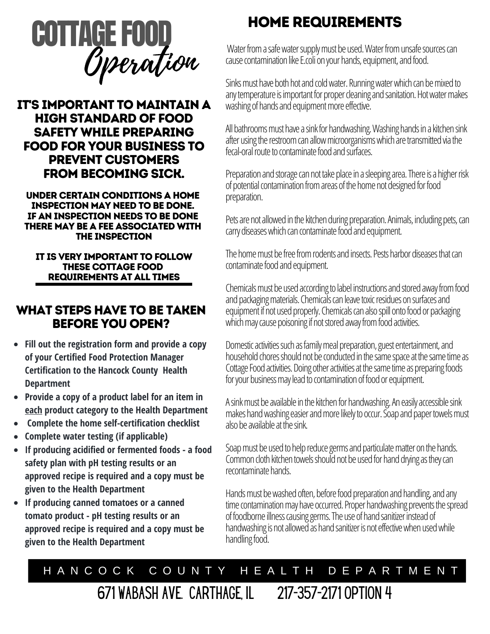

### IT'S IMPORTANT TO MAINTAIN A HIGH STANDARD OF FOOD SAFETY WHILE PREPARING FOOD FOR YOUR BUSINESS TO PREVENT CUSTOMERS FROM BECOMING SICK.

UNDER CERTAIN CONDITIONS A HOME INSPECTION MAY NEED TO BE DONE. IF AN INSPECTION NEEDS TO BE DONE THERE MAY BE A FEE ASSOCIATED WITH THE INSPECTION

#### IT IS VERY IMPORTANT TO FOLLOW THESE COTTAGE FOOD REQUIREMENTS AT ALL TIMES

### WHAT STEPS HAVE TO BE TAKEN BEFORE YOU OPEN?

- **Fill out the registration form and provide a copy of your Certified Food Protection Manager Certification to the Hancock County Health Department**
- **Provide a copy of a product label for an item in each product category to the Health Department**
- **Complete the home self-certification checklist**
- **Complete water testing (if applicable)**
- **If producing acidified or fermented foods a food safety plan with pH testing results or an approved recipe is required and a copy must be given to the Health Department**
- **If producing canned tomatoes or a canned tomato product - pH testing results or an approved recipe is required and a copy must be given to the Health Department**

## HOME REQUIREMENTS

Water from a safe water supply must be used. Water from unsafe sources can cause contamination like E.coli on your hands, equipment, and food.

Sinks must have both hot and cold water. Running water which can be mixed to any temperature is important for proper cleaning and sanitation. Hot water makes washing of hands and equipment more effective.

All bathrooms must have a sink for handwashing. Washing hands in a kitchen sink after using the restroom can allow microorganisms which are transmitted via the fecal-oral route to contaminate food and surfaces.

Preparation and storage can not take place in a sleeping area. There is a higher risk of potential contamination from areas of the home not designed for food preparation.

Pets are not allowed in the kitchen during preparation. Animals, including pets, can carry diseases which can contaminate food and equipment.

The home must be free from rodents and insects. Pests harbor diseases that can contaminate food and equipment.

Chemicals must be used according to label instructions and stored away from food and packaging materials. Chemicals can leave toxic residues on surfaces and equipment if not used properly. Chemicals can also spill onto food or packaging which may cause poisoning if not stored away from food activities.

Domestic activities such as family meal preparation, guest entertainment, and household chores should not be conducted in the same space at the same time as Cottage Food activities. Doing other activities at the same time as preparing foods for your business may lead to contamination of food or equipment.

A sink must be available in the kitchen for handwashing. An easily accessible sink makes hand washing easier and more likely to occur. Soap and paper towels must also be available at the sink.

Soap must be used to help reduce germs and particulate matter on the hands. Common cloth kitchen towels should not be used for hand drying as they can recontaminate hands.

Hands must be washed often, before food preparation and handling, and any time contamination may have occurred. Proper handwashing prevents the spread of foodborne illness causing germs. The use of hand sanitizer instead of handwashing is not allowed as hand sanitizer is not effective when used while handling food.

# H A N C O C K C O U N T Y H E A L T H D E P A R T M E N T

671 Wabash Ave. Carthage, IL 217-357-2171 option 4